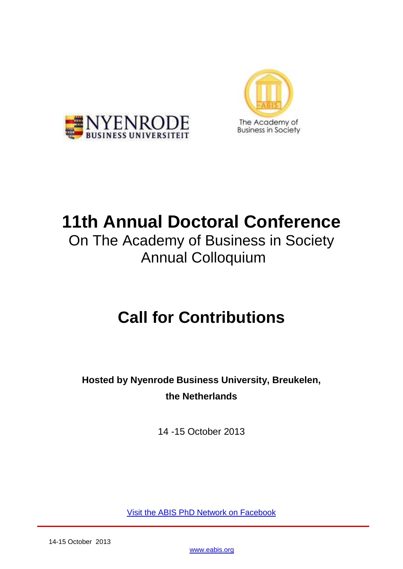



# **11th Annual Doctoral Conference**

On The Academy of Business in Society Annual Colloquium

# **Call for Contributions**

**Hosted by Nyenrode Business University, Breukelen, the Netherlands**

14 -15 October 2013

[Visit the ABIS PhD Network on Facebook](http://www.facebook.com/home.php#!/group.php?gid=120201418016766)

[www.eabis.org](http://www.eabis.org/)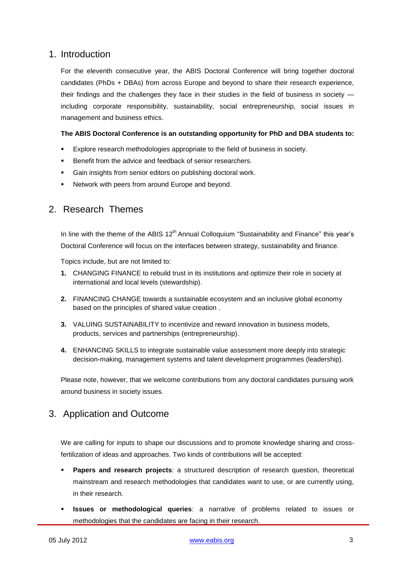## 1. Introduction

For the eleventh consecutive year, the ABIS Doctoral Conference will bring together doctoral candidates (PhDs + DBAs) from across Europe and beyond to share their research experience, their findings and the challenges they face in their studies in the field of business in society including corporate responsibility, sustainability, social entrepreneurship, social issues in management and business ethics.

### **The ABIS Doctoral Conference is an outstanding opportunity for PhD and DBA students to:**

- Explore research methodologies appropriate to the field of business in society.
- Benefit from the advice and feedback of senior researchers.
- Gain insights from senior editors on publishing doctoral work.
- Network with peers from around Europe and beyond.

## 2. Research Themes

In line with the theme of the ABIS  $12<sup>th</sup>$  Annual Colloquium "Sustainability and Finance" this year's Doctoral Conference will focus on the interfaces between strategy, sustainability and finance.

Topics include, but are not limited to:

- **1.** CHANGING FINANCE to rebuild trust in its institutions and optimize their role in society at international and local levels (stewardship).
- **2.** FINANCING CHANGE towards a sustainable ecosystem and an inclusive global economy based on the principles of shared value creation .
- **3.** VALUING SUSTAINABILITY to incentivize and reward innovation in business models, products, services and partnerships (entrepreneurship).
- **4.** ENHANCING SKILLS to integrate sustainable value assessment more deeply into strategic decision-making, management systems and talent development programmes (leadership).

Please note, however, that we welcome contributions from any doctoral candidates pursuing work around business in society issues.

## 3. Application and Outcome

We are calling for inputs to shape our discussions and to promote knowledge sharing and crossfertilization of ideas and approaches. Two kinds of contributions will be accepted:

- **Papers and research projects**; a structured description of research question, theoretical mainstream and research methodologies that candidates want to use, or are currently using, in their research.
- **Issues or methodological queries**: a narrative of problems related to issues or methodologies that the candidates are facing in their research.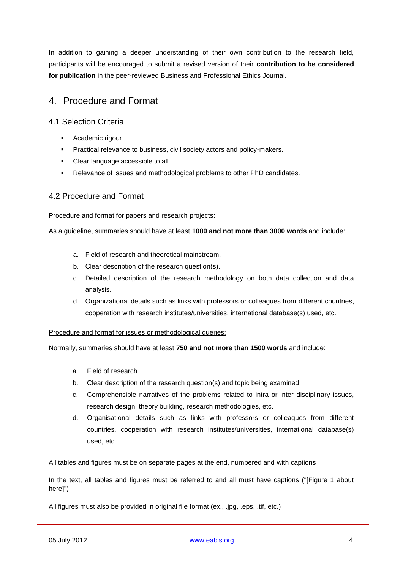In addition to gaining a deeper understanding of their own contribution to the research field, participants will be encouraged to submit a revised version of their **contribution to be considered for publication** in the peer-reviewed Business and Professional Ethics Journal.

# 4. Procedure and Format

## 4.1 Selection Criteria

- **Academic rigour.**
- **Practical relevance to business, civil society actors and policy-makers.**
- Clear language accessible to all.
- Relevance of issues and methodological problems to other PhD candidates.

## 4.2 Procedure and Format

#### Procedure and format for papers and research projects:

As a guideline, summaries should have at least **1000 and not more than 3000 words** and include:

- a. Field of research and theoretical mainstream.
- b. Clear description of the research question(s).
- c. Detailed description of the research methodology on both data collection and data analysis.
- d. Organizational details such as links with professors or colleagues from different countries, cooperation with research institutes/universities, international database(s) used, etc.

Procedure and format for issues or methodological queries:

Normally, summaries should have at least **750 and not more than 1500 words** and include:

- a. Field of research
- b. Clear description of the research question(s) and topic being examined
- c. Comprehensible narratives of the problems related to intra or inter disciplinary issues, research design, theory building, research methodologies, etc.
- d. Organisational details such as links with professors or colleagues from different countries, cooperation with research institutes/universities, international database(s) used, etc.

All tables and figures must be on separate pages at the end, numbered and with captions

In the text, all tables and figures must be referred to and all must have captions ("[Figure 1 about here]")

All figures must also be provided in original file format (ex., .jpg, .eps, .tif, etc.)